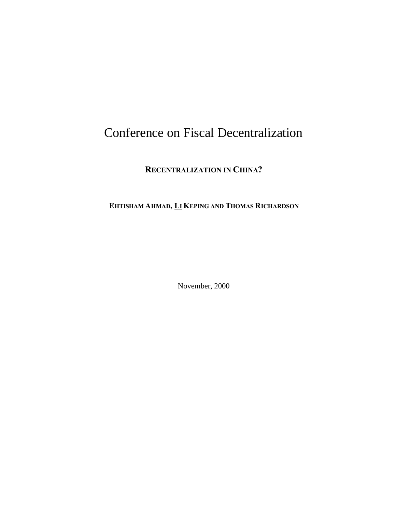# Conference on Fiscal Decentralization

# **RECENTRALIZATION IN CHINA?**

**EHTISHAM AHMAD, LI KEPING AND THOMAS RICHARDSON**

November, 2000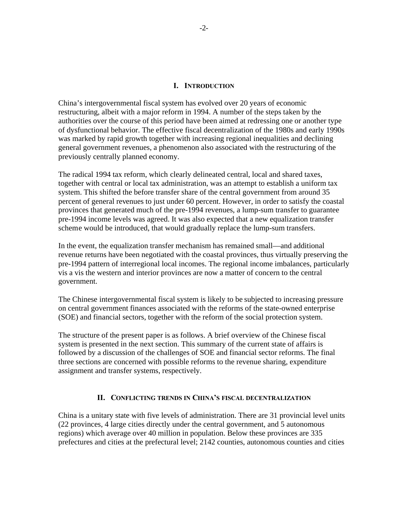#### **I. INTRODUCTION**

China's intergovernmental fiscal system has evolved over 20 years of economic restructuring, albeit with a major reform in 1994. A number of the steps taken by the authorities over the course of this period have been aimed at redressing one or another type of dysfunctional behavior. The effective fiscal decentralization of the 1980s and early 1990s was marked by rapid growth together with increasing regional inequalities and declining general government revenues, a phenomenon also associated with the restructuring of the previously centrally planned economy.

The radical 1994 tax reform, which clearly delineated central, local and shared taxes, together with central or local tax administration, was an attempt to establish a uniform tax system. This shifted the before transfer share of the central government from around 35 percent of general revenues to just under 60 percent. However, in order to satisfy the coastal provinces that generated much of the pre-1994 revenues, a lump-sum transfer to guarantee pre-1994 income levels was agreed. It was also expected that a new equalization transfer scheme would be introduced, that would gradually replace the lump-sum transfers.

In the event, the equalization transfer mechanism has remained small—and additional revenue returns have been negotiated with the coastal provinces, thus virtually preserving the pre-1994 pattern of interregional local incomes. The regional income imbalances, particularly vis a vis the western and interior provinces are now a matter of concern to the central government.

The Chinese intergovernmental fiscal system is likely to be subjected to increasing pressure on central government finances associated with the reforms of the state-owned enterprise (SOE) and financial sectors, together with the reform of the social protection system.

The structure of the present paper is as follows. A brief overview of the Chinese fiscal system is presented in the next section. This summary of the current state of affairs is followed by a discussion of the challenges of SOE and financial sector reforms. The final three sections are concerned with possible reforms to the revenue sharing, expenditure assignment and transfer systems, respectively.

#### **II. CONFLICTING TRENDS IN CHINA'S FISCAL DECENTRALIZATION**

China is a unitary state with five levels of administration. There are 31 provincial level units (22 provinces, 4 large cities directly under the central government, and 5 autonomous regions) which average over 40 million in population. Below these provinces are 335 prefectures and cities at the prefectural level; 2142 counties, autonomous counties and cities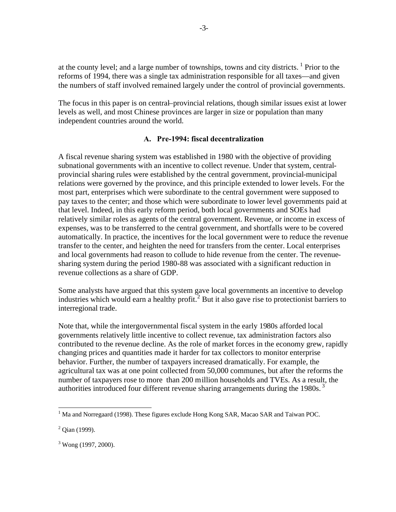at the county level; and a large number of townships, towns and city districts. <sup>1</sup> Prior to the reforms of 1994, there was a single tax administration responsible for all taxes—and given the numbers of staff involved remained largely under the control of provincial governments.

The focus in this paper is on central–provincial relations, though similar issues exist at lower levels as well, and most Chinese provinces are larger in size or population than many independent countries around the world.

# **A. Pre-1994: fiscal decentralization**

A fiscal revenue sharing system was established in 1980 with the objective of providing subnational governments with an incentive to collect revenue. Under that system, centralprovincial sharing rules were established by the central government, provincial-municipal relations were governed by the province, and this principle extended to lower levels. For the most part, enterprises which were subordinate to the central government were supposed to pay taxes to the center; and those which were subordinate to lower level governments paid at that level. Indeed, in this early reform period, both local governments and SOEs had relatively similar roles as agents of the central government. Revenue, or income in excess of expenses, was to be transferred to the central government, and shortfalls were to be covered automatically. In practice, the incentives for the local government were to reduce the revenue transfer to the center, and heighten the need for transfers from the center. Local enterprises and local governments had reason to collude to hide revenue from the center. The revenuesharing system during the period 1980-88 was associated with a significant reduction in revenue collections as a share of GDP.

Some analysts have argued that this system gave local governments an incentive to develop industries which would earn a healthy profit.<sup>2</sup> But it also gave rise to protectionist barriers to interregional trade.

Note that, while the intergovernmental fiscal system in the early 1980s afforded local governments relatively little incentive to collect revenue, tax administration factors also contributed to the revenue decline. As the role of market forces in the economy grew, rapidly changing prices and quantities made it harder for tax collectors to monitor enterprise behavior. Further, the number of taxpayers increased dramatically. For example, the agricultural tax was at one point collected from 50,000 communes, but after the reforms the number of taxpayers rose to more than 200 million households and TVEs. As a result, the authorities introduced four different revenue sharing arrangements during the 1980s.<sup>3</sup>

<sup>1</sup> <sup>1</sup> Ma and Norregaard (1998). These figures exclude Hong Kong SAR, Macao SAR and Taiwan POC.

 $2$  Qian (1999).

<sup>&</sup>lt;sup>3</sup> Wong (1997, 2000).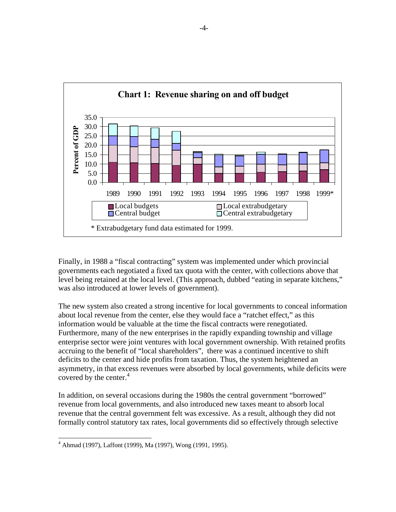

Finally, in 1988 a "fiscal contracting" system was implemented under which provincial governments each negotiated a fixed tax quota with the center, with collections above that level being retained at the local level. (This approach, dubbed "eating in separate kitchens," was also introduced at lower levels of government).

The new system also created a strong incentive for local governments to conceal information about local revenue from the center, else they would face a "ratchet effect," as this information would be valuable at the time the fiscal contracts were renegotiated. Furthermore, many of the new enterprises in the rapidly expanding township and village enterprise sector were joint ventures with local government ownership. With retained profits accruing to the benefit of "local shareholders", there was a continued incentive to shift deficits to the center and hide profits from taxation. Thus, the system heightened an asymmetry, in that excess revenues were absorbed by local governments, while deficits were covered by the center.<sup>4</sup>

In addition, on several occasions during the 1980s the central government "borrowed" revenue from local governments, and also introduced new taxes meant to absorb local revenue that the central government felt was excessive. As a result, although they did not formally control statutory tax rates, local governments did so effectively through selective

 4 Ahmad (1997), Laffont (1999), Ma (1997), Wong (1991, 1995).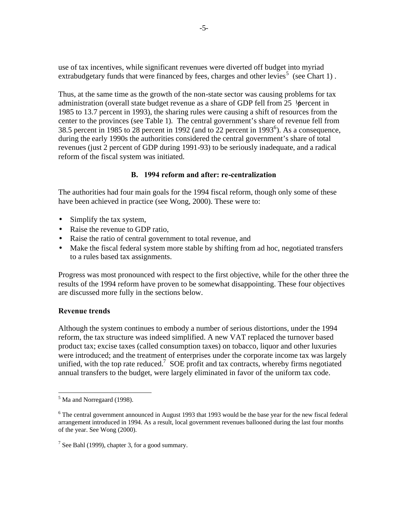use of tax incentives, while significant revenues were diverted off budget into myriad extrabudgetary funds that were financed by fees, charges and other levies<sup>5</sup> (see Chart 1).

Thus, at the same time as the growth of the non-state sector was causing problems for tax administration (overall state budget revenue as a share of GDP fell from 25  $\frac{1}{2}$  percent in 1985 to 13.7 percent in 1993), the sharing rules were causing a shift of resources from the center to the provinces (see Table 1). The central government's share of revenue fell from 38.5 percent in 1985 to 28 percent in 1992 (and to 22 percent in 1993<sup>6</sup>). As a consequence, during the early 1990s the authorities considered the central government's share of total revenues (just 2 percent of GDP during 1991-93) to be seriously inadequate, and a radical reform of the fiscal system was initiated.

#### **B. 1994 reform and after: re-centralization**

The authorities had four main goals for the 1994 fiscal reform, though only some of these have been achieved in practice (see Wong, 2000). These were to:

- Simplify the tax system,
- Raise the revenue to GDP ratio,
- Raise the ratio of central government to total revenue, and
- Make the fiscal federal system more stable by shifting from ad hoc, negotiated transfers to a rules based tax assignments.

Progress was most pronounced with respect to the first objective, while for the other three the results of the 1994 reform have proven to be somewhat disappointing. These four objectives are discussed more fully in the sections below.

# **Revenue trends**

Although the system continues to embody a number of serious distortions, under the 1994 reform, the tax structure was indeed simplified. A new VAT replaced the turnover based product tax; excise taxes (called consumption taxes) on tobacco, liquor and other luxuries were introduced; and the treatment of enterprises under the corporate income tax was largely unified, with the top rate reduced.<sup>7</sup> SOE profit and tax contracts, whereby firms negotiated annual transfers to the budget, were largely eliminated in favor of the uniform tax code.

<sup>&</sup>lt;sup>5</sup> Ma and Norregaard (1998).

<sup>&</sup>lt;sup>6</sup> The central government announced in August 1993 that 1993 would be the base year for the new fiscal federal arrangement introduced in 1994. As a result, local government revenues ballooned during the last four months of the year. See Wong (2000).

 $<sup>7</sup>$  See Bahl (1999), chapter 3, for a good summary.</sup>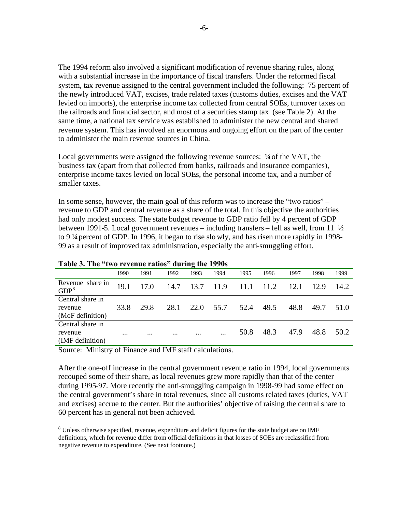The 1994 reform also involved a significant modification of revenue sharing rules, along with a substantial increase in the importance of fiscal transfers. Under the reformed fiscal system, tax revenue assigned to the central government included the following: 75 percent of the newly introduced VAT, excises, trade related taxes (customs duties, excises and the VAT levied on imports), the enterprise income tax collected from central SOEs, turnover taxes on the railroads and financial sector, and most of a securities stamp tax (see Table 2). At the same time, a national tax service was established to administer the new central and shared revenue system. This has involved an enormous and ongoing effort on the part of the center to administer the main revenue sources in China.

Local governments were assigned the following revenue sources:  $\frac{1}{4}$  of the VAT, the business tax (apart from that collected from banks, railroads and insurance companies), enterprise income taxes levied on local SOEs, the personal income tax, and a number of smaller taxes.

In some sense, however, the main goal of this reform was to increase the "two ratios" – revenue to GDP and central revenue as a share of the total. In this objective the authorities had only modest success. The state budget revenue to GDP ratio fell by 4 percent of GDP between 1991-5. Local government revenues – including transfers – fell as well, from 11  $\frac{1}{2}$ to 9 ¼ percent of GDP. In 1996, it began to rise slo wly, and has risen more rapidly in 1998- 99 as a result of improved tax administration, especially the anti-smuggling effort.

| Table of The Thotelecture ratios authing the 1990s |                     |          |          |          |          |      |      |      |      |      |
|----------------------------------------------------|---------------------|----------|----------|----------|----------|------|------|------|------|------|
|                                                    | 1990                | 1991     | 1992     | 1993     | 1994     | 1995 | 1996 | 1997 | 1998 | 1999 |
| Revenue share in<br>GDP <sup>8</sup>               | 19.1                | 17.0     | 14.7     | 13.7     | 11.9     | 11.1 | 11.2 | 12.1 | 12.9 | 14.2 |
| Central share in<br>revenue<br>(MoF definition)    | 33.8                | 29.8     | 28.1     | 22.0     | 55.7     | 52.4 | 49.5 | 48.8 | 49.7 | 51.0 |
| Central share in<br>revenue<br>(IMF definition)    | $\cdot \cdot \cdot$ | $\cdots$ | $\cdots$ | $\cdots$ | $\cdots$ | 50.8 | 48.3 | 47.9 | 48.8 | 50.2 |

**Table 3. The "two revenue ratios" during the 1990s**

Source: Ministry of Finance and IMF staff calculations.

1

After the one-off increase in the central government revenue ratio in 1994, local governments recouped some of their share, as local revenues grew more rapidly than that of the center during 1995-97. More recently the anti-smuggling campaign in 1998-99 had some effect on the central government's share in total revenues, since all customs related taxes (duties, VAT and excises) accrue to the center. But the authorities' objective of raising the central share to 60 percent has in general not been achieved.

<sup>&</sup>lt;sup>8</sup> Unless otherwise specified, revenue, expenditure and deficit figures for the state budget are on IMF definitions, which for revenue differ from official definitions in that losses of SOEs are reclassified from negative revenue to expenditure. (See next footnote.)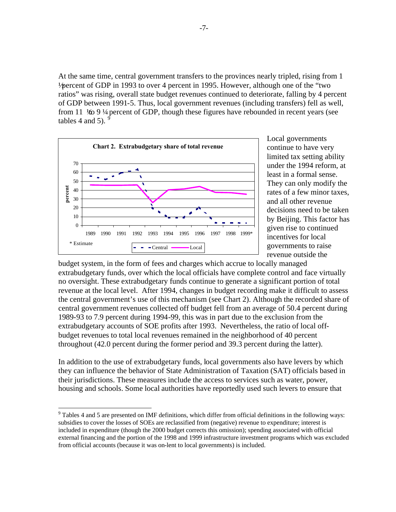At the same time, central government transfers to the provinces nearly tripled, rising from 1 ½ percent of GDP in 1993 to over 4 percent in 1995. However, although one of the "two ratios" was rising, overall state budget revenues continued to deteriorate, falling by 4 percent of GDP between 1991-5. Thus, local government revenues (including transfers) fell as well, from 11  $\frac{1}{2}$  to 9  $\frac{1}{4}$  percent of GDP, though these figures have rebounded in recent years (see tables 4 and 5).  $9$ 



1

Local governments continue to have very limited tax setting ability under the 1994 reform, at least in a formal sense. They can only modify the rates of a few minor taxes, and all other revenue decisions need to be taken by Beijing. This factor has given rise to continued incentives for local governments to raise revenue outside the

budget system, in the form of fees and charges which accrue to locally managed extrabudgetary funds, over which the local officials have complete control and face virtually no oversight. These extrabudgetary funds continue to generate a significant portion of total revenue at the local level. After 1994, changes in budget recording make it difficult to assess the central government's use of this mechanism (see Chart 2). Although the recorded share of central government revenues collected off budget fell from an average of 50.4 percent during 1989-93 to 7.9 percent during 1994-99, this was in part due to the exclusion from the extrabudgetary accounts of SOE profits after 1993. Nevertheless, the ratio of local offbudget revenues to total local revenues remained in the neighborhood of 40 percent throughout (42.0 percent during the former period and 39.3 percent during the latter).

In addition to the use of extrabudgetary funds, local governments also have levers by which they can influence the behavior of State Administration of Taxation (SAT) officials based in their jurisdictions. These measures include the access to services such as water, power, housing and schools. Some local authorities have reportedly used such levers to ensure that

 $9$  Tables 4 and 5 are presented on IMF definitions, which differ from official definitions in the following ways: subsidies to cover the losses of SOEs are reclassified from (negative) revenue to expenditure; interest is included in expenditure (though the 2000 budget corrects this omission); spending associated with official external financing and the portion of the 1998 and 1999 infrastructure investment programs which was excluded from official accounts (because it was on-lent to local governments) is included.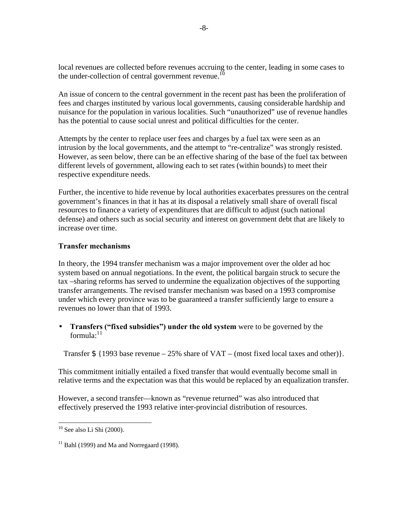local revenues are collected before revenues accruing to the center, leading in some cases to the under-collection of central government revenue.<sup>10</sup>

An issue of concern to the central government in the recent past has been the proliferation of fees and charges instituted by various local governments, causing considerable hardship and nuisance for the population in various localities. Such "unauthorized" use of revenue handles has the potential to cause social unrest and political difficulties for the center.

Attempts by the center to replace user fees and charges by a fuel tax were seen as an intrusion by the local governments, and the attempt to "re-centralize" was strongly resisted. However, as seen below, there can be an effective sharing of the base of the fuel tax between different levels of government, allowing each to set rates (within bounds) to meet their respective expenditure needs.

Further, the incentive to hide revenue by local authorities exacerbates pressures on the central government's finances in that it has at its disposal a relatively small share of overall fiscal resources to finance a variety of expenditures that are difficult to adjust (such national defense) and others such as social security and interest on government debt that are likely to increase over time.

#### **Transfer mechanisms**

In theory, the 1994 transfer mechanism was a major improvement over the older ad hoc system based on annual negotiations. In the event, the political bargain struck to secure the tax –sharing reforms has served to undermine the equalization objectives of the supporting transfer arrangements. The revised transfer mechanism was based on a 1993 compromise under which every province was to be guaranteed a transfer sufficiently large to ensure a revenues no lower than that of 1993.

• **Transfers ("fixed subsidies") under the old system** were to be governed by the formula: $11$ 

Transfer  $\frac{1993 \text{ base revenue} - 25\% \text{ share of } \text{VAT} - \text{(most fixed local taxes and other)}.$ 

This commitment initially entailed a fixed transfer that would eventually become small in relative terms and the expectation was that this would be replaced by an equalization transfer.

However, a second transfer—known as "revenue returned" was also introduced that effectively preserved the 1993 relative inter-provincial distribution of resources.

<sup>1</sup>  $10$  See also Li Shi (2000).

 $11$  Bahl (1999) and Ma and Norregaard (1998).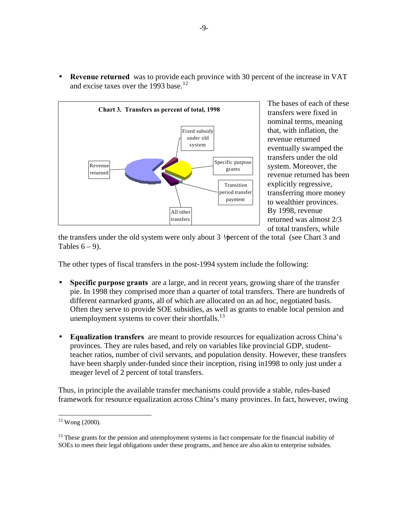

• **Revenue returned** was to provide each province with 30 percent of the increase in VAT and excise taxes over the 1993 base.<sup>12</sup>

> The bases of each of these transfers were fixed in nominal terms, meaning that, with inflation, the revenue returned eventually swamped the transfers under the old system. Moreover, the revenue returned has been explicitly regressive, transferring more money to wealthier provinces. By 1998, revenue returned was almost 2/3 of total transfers, while

the transfers under the old system were only about 3  $\frac{1}{2}$  percent of the total (see Chart 3 and Tables  $6 - 9$ ).

The other types of fiscal transfers in the post-1994 system include the following:

- **Specific purpose grants** are a large, and in recent years, growing share of the transfer pie. In 1998 they comprised more than a quarter of total transfers. There are hundreds of different earmarked grants, all of which are allocated on an ad hoc, negotiated basis. Often they serve to provide SOE subsidies, as well as grants to enable local pension and unemployment systems to cover their shortfalls. $^{13}$
- **Equalization transfers** are meant to provide resources for equalization across China's provinces. They are rules based, and rely on variables like provincial GDP, studentteacher ratios, number of civil servants, and population density. However, these transfers have been sharply under-funded since their inception, rising in1998 to only just under a meager level of 2 percent of total transfers.

Thus, in principle the available transfer mechanisms could provide a stable, rules-based framework for resource equalization across China's many provinces. In fact, however, owing

1

 $12$  Wong (2000).

<sup>&</sup>lt;sup>13</sup> These grants for the pension and unemployment systems in fact compensate for the financial inability of SOEs to meet their legal obligations under these programs, and hence are also akin to enterprise subsides.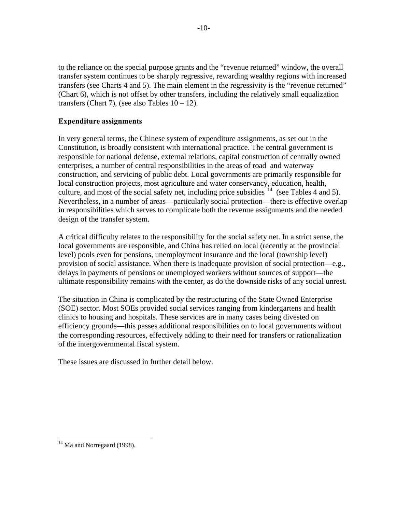to the reliance on the special purpose grants and the "revenue returned" window, the overall transfer system continues to be sharply regressive, rewarding wealthy regions with increased transfers (see Charts 4 and 5). The main element in the regressivity is the "revenue returned" (Chart 6), which is not offset by other transfers, including the relatively small equalization transfers (Chart 7), (see also Tables  $10 - 12$ ).

# **Expenditure assignments**

In very general terms, the Chinese system of expenditure assignments, as set out in the Constitution, is broadly consistent with international practice. The central government is responsible for national defense, external relations, capital construction of centrally owned enterprises, a number of central responsibilities in the areas of road and waterway construction, and servicing of public debt. Local governments are primarily responsible for local construction projects, most agriculture and water conservancy, education, health, culture, and most of the social safety net, including price subsidies  $14$  (see Tables 4 and 5). Nevertheless, in a number of areas—particularly social protection—there is effective overlap in responsibilities which serves to complicate both the revenue assignments and the needed design of the transfer system.

A critical difficulty relates to the responsibility for the social safety net. In a strict sense, the local governments are responsible, and China has relied on local (recently at the provincial level) pools even for pensions, unemployment insurance and the local (township level) provision of social assistance. When there is inadequate provision of social protection—e.g., delays in payments of pensions or unemployed workers without sources of support—the ultimate responsibility remains with the center, as do the downside risks of any social unrest.

The situation in China is complicated by the restructuring of the State Owned Enterprise (SOE) sector. Most SOEs provided social services ranging from kindergartens and health clinics to housing and hospitals. These services are in many cases being divested on efficiency grounds—this passes additional responsibilities on to local governments without the corresponding resources, effectively adding to their need for transfers or rationalization of the intergovernmental fiscal system.

These issues are discussed in further detail below.

<sup>1</sup> <sup>14</sup> Ma and Norregaard (1998).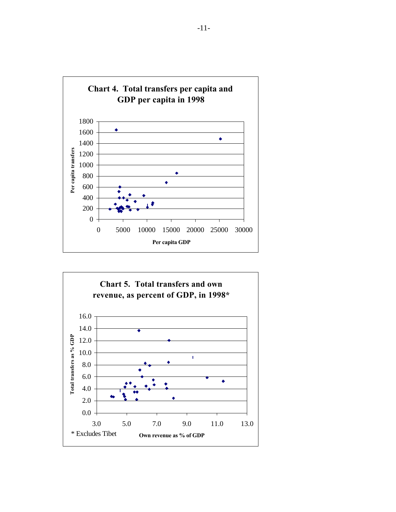

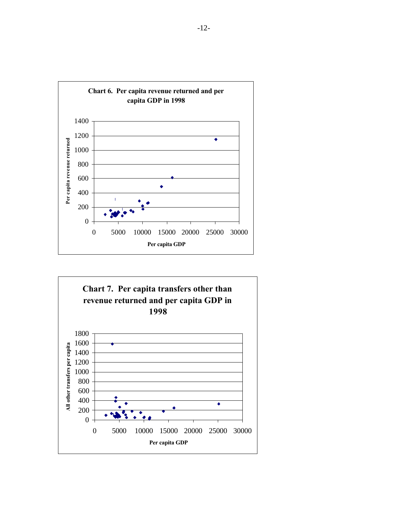

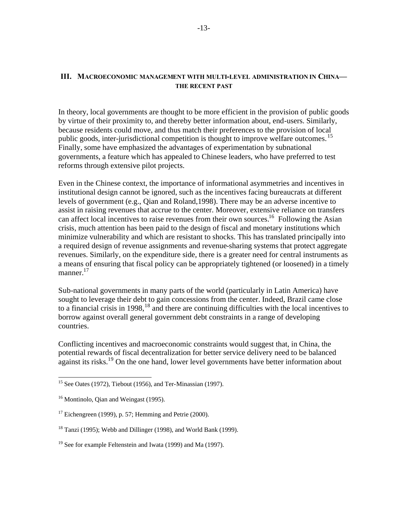#### **III. MACROECONOMIC MANAGEMENT WITH MULTI-LEVEL ADMINISTRATION IN CHINA— THE RECENT PAST**

In theory, local governments are thought to be more efficient in the provision of public goods by virtue of their proximity to, and thereby better information about, end-users. Similarly, because residents could move, and thus match their preferences to the provision of local public goods, inter-jurisdictional competition is thought to improve welfare outcomes.<sup>15</sup> Finally, some have emphasized the advantages of experimentation by subnational governments, a feature which has appealed to Chinese leaders, who have preferred to test reforms through extensive pilot projects.

Even in the Chinese context, the importance of informational asymmetries and incentives in institutional design cannot be ignored, such as the incentives facing bureaucrats at different levels of government (e.g., Qian and Roland,1998). There may be an adverse incentive to assist in raising revenues that accrue to the center. Moreover, extensive reliance on transfers can affect local incentives to raise revenues from their own sources.<sup>16</sup> Following the Asian crisis, much attention has been paid to the design of fiscal and monetary institutions which minimize vulnerability and which are resistant to shocks. This has translated principally into a required design of revenue assignments and revenue-sharing systems that protect aggregate revenues. Similarly, on the expenditure side, there is a greater need for central instruments as a means of ensuring that fiscal policy can be appropriately tightened (or loosened) in a timely manner. $17$ 

Sub-national governments in many parts of the world (particularly in Latin America) have sought to leverage their debt to gain concessions from the center. Indeed, Brazil came close to a financial crisis in 1998,  $^{18}$  and there are continuing difficulties with the local incentives to borrow against overall general government debt constraints in a range of developing countries.

Conflicting incentives and macroeconomic constraints would suggest that, in China, the potential rewards of fiscal decentralization for better service delivery need to be balanced against its risks.<sup>19</sup> On the one hand, lower level governments have better information about

<sup>1</sup>  $15$  See Oates (1972), Tiebout (1956), and Ter-Minassian (1997).

<sup>&</sup>lt;sup>16</sup> Montinolo, Oian and Weingast (1995).

 $17$  Eichengreen (1999), p. 57; Hemming and Petrie (2000).

 $18$  Tanzi (1995); Webb and Dillinger (1998), and World Bank (1999).

<sup>19</sup> See for example Feltenstein and Iwata (1999) and Ma (1997).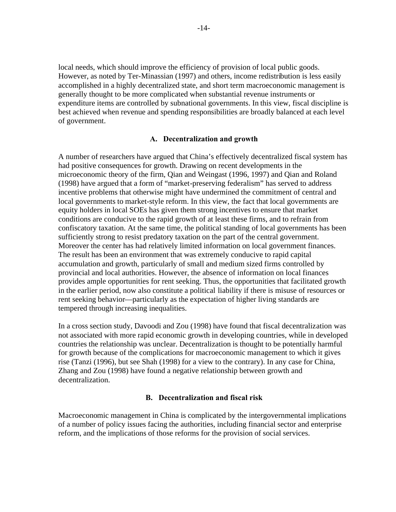local needs, which should improve the efficiency of provision of local public goods. However, as noted by Ter-Minassian (1997) and others, income redistribution is less easily accomplished in a highly decentralized state, and short term macroeconomic management is generally thought to be more complicated when substantial revenue instruments or expenditure items are controlled by subnational governments. In this view, fiscal discipline is best achieved when revenue and spending responsibilities are broadly balanced at each level of government.

#### **A. Decentralization and growth**

A number of researchers have argued that China's effectively decentralized fiscal system has had positive consequences for growth. Drawing on recent developments in the microeconomic theory of the firm, Qian and Weingast (1996, 1997) and Qian and Roland (1998) have argued that a form of "market-preserving federalism" has served to address incentive problems that otherwise might have undermined the commitment of central and local governments to market-style reform. In this view, the fact that local governments are equity holders in local SOEs has given them strong incentives to ensure that market conditions are conducive to the rapid growth of at least these firms, and to refrain from confiscatory taxation. At the same time, the political standing of local governments has been sufficiently strong to resist predatory taxation on the part of the central government. Moreover the center has had relatively limited information on local government finances. The result has been an environment that was extremely conducive to rapid capital accumulation and growth, particularly of small and medium sized firms controlled by provincial and local authorities. However, the absence of information on local finances provides ample opportunities for rent seeking. Thus, the opportunities that facilitated growth in the earlier period, now also constitute a political liability if there is misuse of resources or rent seeking behavior—particularly as the expectation of higher living standards are tempered through increasing inequalities.

In a cross section study, Davoodi and Zou (1998) have found that fiscal decentralization was not associated with more rapid economic growth in developing countries, while in developed countries the relationship was unclear. Decentralization is thought to be potentially harmful for growth because of the complications for macroeconomic management to which it gives rise (Tanzi (1996), but see Shah (1998) for a view to the contrary). In any case for China, Zhang and Zou (1998) have found a negative relationship between growth and decentralization.

#### **B. Decentralization and fiscal risk**

Macroeconomic management in China is complicated by the intergovernmental implications of a number of policy issues facing the authorities, including financial sector and enterprise reform, and the implications of those reforms for the provision of social services.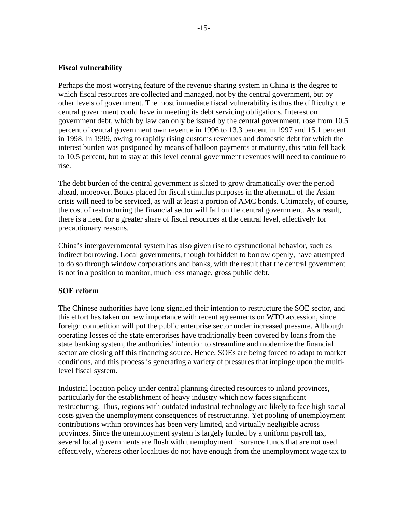#### **Fiscal vulnerability**

Perhaps the most worrying feature of the revenue sharing system in China is the degree to which fiscal resources are collected and managed, not by the central government, but by other levels of government. The most immediate fiscal vulnerability is thus the difficulty the central government could have in meeting its debt servicing obligations. Interest on government debt, which by law can only be issued by the central government, rose from 10.5 percent of central government own revenue in 1996 to 13.3 percent in 1997 and 15.1 percent in 1998. In 1999, owing to rapidly rising customs revenues and domestic debt for which the interest burden was postponed by means of balloon payments at maturity, this ratio fell back to 10.5 percent, but to stay at this level central government revenues will need to continue to rise.

The debt burden of the central government is slated to grow dramatically over the period ahead, moreover. Bonds placed for fiscal stimulus purposes in the aftermath of the Asian crisis will need to be serviced, as will at least a portion of AMC bonds. Ultimately, of course, the cost of restructuring the financial sector will fall on the central government. As a result, there is a need for a greater share of fiscal resources at the central level, effectively for precautionary reasons.

China's intergovernmental system has also given rise to dysfunctional behavior, such as indirect borrowing. Local governments, though forbidden to borrow openly, have attempted to do so through window corporations and banks, with the result that the central government is not in a position to monitor, much less manage, gross public debt.

# **SOE reform**

The Chinese authorities have long signaled their intention to restructure the SOE sector, and this effort has taken on new importance with recent agreements on WTO accession, since foreign competition will put the public enterprise sector under increased pressure. Although operating losses of the state enterprises have traditionally been covered by loans from the state banking system, the authorities' intention to streamline and modernize the financial sector are closing off this financing source. Hence, SOEs are being forced to adapt to market conditions, and this process is generating a variety of pressures that impinge upon the multilevel fiscal system.

Industrial location policy under central planning directed resources to inland provinces, particularly for the establishment of heavy industry which now faces significant restructuring. Thus, regions with outdated industrial technology are likely to face high social costs given the unemployment consequences of restructuring. Yet pooling of unemployment contributions within provinces has been very limited, and virtually negligible across provinces. Since the unemployment system is largely funded by a uniform payroll tax, several local governments are flush with unemployment insurance funds that are not used effectively, whereas other localities do not have enough from the unemployment wage tax to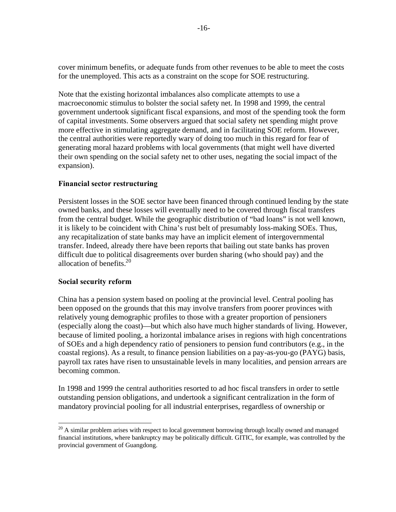cover minimum benefits, or adequate funds from other revenues to be able to meet the costs for the unemployed. This acts as a constraint on the scope for SOE restructuring.

Note that the existing horizontal imbalances also complicate attempts to use a macroeconomic stimulus to bolster the social safety net. In 1998 and 1999, the central government undertook significant fiscal expansions, and most of the spending took the form of capital investments. Some observers argued that social safety net spending might prove more effective in stimulating aggregate demand, and in facilitating SOE reform. However, the central authorities were reportedly wary of doing too much in this regard for fear of generating moral hazard problems with local governments (that might well have diverted their own spending on the social safety net to other uses, negating the social impact of the expansion).

#### **Financial sector restructuring**

Persistent losses in the SOE sector have been financed through continued lending by the state owned banks, and these losses will eventually need to be covered through fiscal transfers from the central budget. While the geographic distribution of "bad loans" is not well known, it is likely to be coincident with China's rust belt of presumably loss-making SOEs. Thus, any recapitalization of state banks may have an implicit element of intergovernmental transfer. Indeed, already there have been reports that bailing out state banks has proven difficult due to political disagreements over burden sharing (who should pay) and the allocation of benefits.<sup>20</sup>

#### **Social security reform**

China has a pension system based on pooling at the provincial level. Central pooling has been opposed on the grounds that this may involve transfers from poorer provinces with relatively young demographic profiles to those with a greater proportion of pensioners (especially along the coast)—but which also have much higher standards of living. However, because of limited pooling, a horizontal imbalance arises in regions with high concentrations of SOEs and a high dependency ratio of pensioners to pension fund contributors (e.g., in the coastal regions). As a result, to finance pension liabilities on a pay-as-you-go (PAYG) basis, payroll tax rates have risen to unsustainable levels in many localities, and pension arrears are becoming common.

In 1998 and 1999 the central authorities resorted to ad hoc fiscal transfers in order to settle outstanding pension obligations, and undertook a significant centralization in the form of mandatory provincial pooling for all industrial enterprises, regardless of ownership or

<sup>1</sup> <sup>20</sup> A similar problem arises with respect to local government borrowing through locally owned and managed financial institutions, where bankruptcy may be politically difficult. GITIC, for example, was controlled by the provincial government of Guangdong.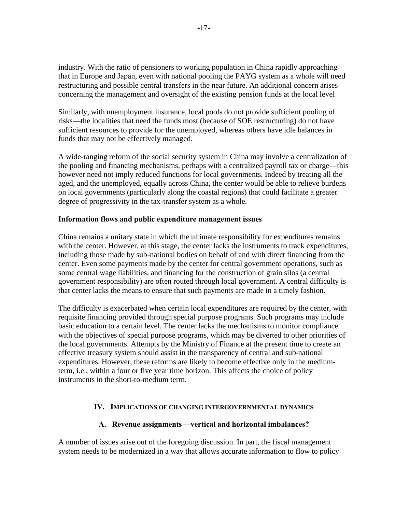industry. With the ratio of pensioners to working population in China rapidly approaching that in Europe and Japan, even with national pooling the PAYG system as a whole will need restructuring and possible central transfers in the near future. An additional concern arises concerning the management and oversight of the existing pension funds at the local level

Similarly, with unemployment insurance, local pools do not provide sufficient pooling of risks—the localities that need the funds most (because of SOE restructuring) do not have sufficient resources to provide for the unemployed, whereas others have idle balances in funds that may not be effectively managed.

A wide-ranging reform of the social security system in China may involve a centralization of the pooling and financing mechanisms, perhaps with a centralized payroll tax or charge—this however need not imply reduced functions for local governments. Indeed by treating all the aged, and the unemployed, equally across China, the center would be able to relieve burdens on local governments (particularly along the coastal regions) that could facilitate a greater degree of progressivity in the tax-transfer system as a whole.

#### **Information flows and public expenditure management issues**

China remains a unitary state in which the ultimate responsibility for expenditures remains with the center. However, at this stage, the center lacks the instruments to track expenditures, including those made by sub-national bodies on behalf of and with direct financing from the center. Even some payments made by the center for central government operations, such as some central wage liabilities, and financing for the construction of grain silos (a central government responsibility) are often routed through local government. A central difficulty is that center lacks the means to ensure that such payments are made in a timely fashion.

The difficulty is exacerbated when certain local expenditures are required by the center, with requisite financing provided through special purpose programs. Such programs may include basic education to a certain level. The center lacks the mechanisms to monitor compliance with the objectives of special purpose programs, which may be diverted to other priorities of the local governments. Attempts by the Ministry of Finance at the present time to create an effective treasury system should assist in the transparency of central and sub-national expenditures. However, these reforms are likely to become effective only in the mediumterm, i.e., within a four or five year time horizon. This affects the choice of policy instruments in the short-to-medium term.

#### **IV. IMPLICATIONS OF CHANGING INTERGOVERNMENTAL DYNAMICS**

# **A. Revenue assignments—vertical and horizontal imbalances?**

A number of issues arise out of the foregoing discussion. In part, the fiscal management system needs to be modernized in a way that allows accurate information to flow to policy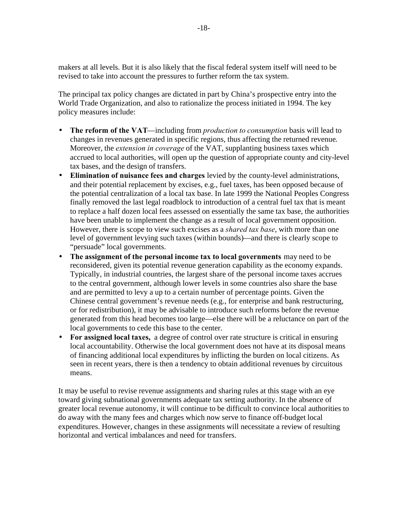makers at all levels. But it is also likely that the fiscal federal system itself will need to be revised to take into account the pressures to further reform the tax system.

The principal tax policy changes are dictated in part by China's prospective entry into the World Trade Organization, and also to rationalize the process initiated in 1994. The key policy measures include:

- **The reform of the VAT**—including from *production to consumption* basis will lead to changes in revenues generated in specific regions, thus affecting the returned revenue. Moreover, the *extension in coverage* of the VAT, supplanting business taxes which accrued to local authorities, will open up the question of appropriate county and city-level tax bases, and the design of transfers.
- **Elimination of nuisance fees and charges** levied by the county-level administrations, and their potential replacement by excises, e.g., fuel taxes, has been opposed because of the potential centralization of a local tax base. In late 1999 the National Peoples Congress finally removed the last legal roadblock to introduction of a central fuel tax that is meant to replace a half dozen local fees assessed on essentially the same tax base, the authorities have been unable to implement the change as a result of local government opposition. However, there is scope to view such excises as a *shared tax base*, with more than one level of government levying such taxes (within bounds)—and there is clearly scope to "persuade" local governments.
- **The assignment of the personal income tax to local governments** may need to be reconsidered, given its potential revenue generation capability as the economy expands. Typically, in industrial countries, the largest share of the personal income taxes accrues to the central government, although lower levels in some countries also share the base and are permitted to levy a up to a certain number of percentage points. Given the Chinese central government's revenue needs (e.g., for enterprise and bank restructuring, or for redistribution), it may be advisable to introduce such reforms before the revenue generated from this head becomes too large—else there will be a reluctance on part of the local governments to cede this base to the center.
- **For assigned local taxes,** a degree of control over rate structure is critical in ensuring local accountability. Otherwise the local government does not have at its disposal means of financing additional local expenditures by inflicting the burden on local citizens. As seen in recent years, there is then a tendency to obtain additional revenues by circuitous means.

It may be useful to revise revenue assignments and sharing rules at this stage with an eye toward giving subnational governments adequate tax setting authority. In the absence of greater local revenue autonomy, it will continue to be difficult to convince local authorities to do away with the many fees and charges which now serve to finance off-budget local expenditures. However, changes in these assignments will necessitate a review of resulting horizontal and vertical imbalances and need for transfers.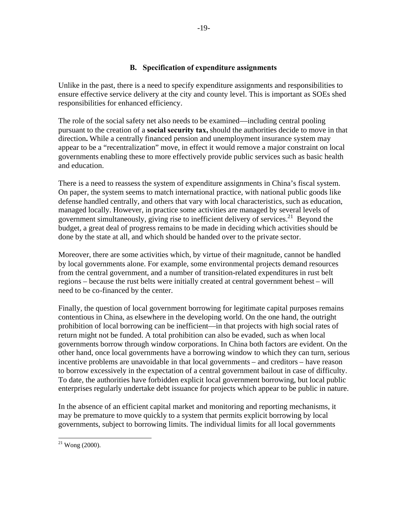### **B. Specification of expenditure assignments**

Unlike in the past, there is a need to specify expenditure assignments and responsibilities to ensure effective service delivery at the city and county level. This is important as SOEs shed responsibilities for enhanced efficiency.

The role of the social safety net also needs to be examined—including central pooling pursuant to the creation of a **social security tax,** should the authorities decide to move in that direction**.** While a centrally financed pension and unemployment insurance system may appear to be a "recentralization" move, in effect it would remove a major constraint on local governments enabling these to more effectively provide public services such as basic health and education.

There is a need to reassess the system of expenditure assignments in China's fiscal system. On paper, the system seems to match international practice, with national public goods like defense handled centrally, and others that vary with local characteristics, such as education, managed locally. However, in practice some activities are managed by several levels of government simultaneously, giving rise to inefficient delivery of services.<sup>21</sup> Beyond the budget, a great deal of progress remains to be made in deciding which activities should be done by the state at all, and which should be handed over to the private sector.

Moreover, there are some activities which, by virtue of their magnitude, cannot be handled by local governments alone. For example, some environmental projects demand resources from the central government, and a number of transition-related expenditures in rust belt regions – because the rust belts were initially created at central government behest – will need to be co-financed by the center.

Finally, the question of local government borrowing for legitimate capital purposes remains contentious in China, as elsewhere in the developing world. On the one hand, the outright prohibition of local borrowing can be inefficient—in that projects with high social rates of return might not be funded. A total prohibition can also be evaded, such as when local governments borrow through window corporations. In China both factors are evident. On the other hand, once local governments have a borrowing window to which they can turn, serious incentive problems are unavoidable in that local governments – and creditors – have reason to borrow excessively in the expectation of a central government bailout in case of difficulty. To date, the authorities have forbidden explicit local government borrowing, but local public enterprises regularly undertake debt issuance for projects which appear to be public in nature.

In the absence of an efficient capital market and monitoring and reporting mechanisms, it may be premature to move quickly to a system that permits explicit borrowing by local governments, subject to borrowing limits. The individual limits for all local governments

<sup>1</sup>  $21$  Wong (2000).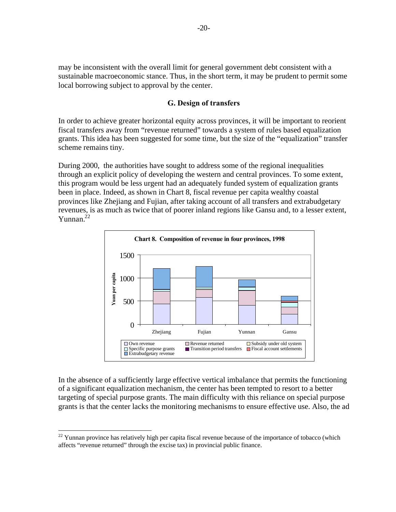may be inconsistent with the overall limit for general government debt consistent with a sustainable macroeconomic stance. Thus, in the short term, it may be prudent to permit some local borrowing subject to approval by the center.

#### **G. Design of transfers**

In order to achieve greater horizontal equity across provinces, it will be important to reorient fiscal transfers away from "revenue returned" towards a system of rules based equalization grants. This idea has been suggested for some time, but the size of the "equalization" transfer scheme remains tiny.

During 2000, the authorities have sought to address some of the regional inequalities through an explicit policy of developing the western and central provinces. To some extent, this program would be less urgent had an adequately funded system of equalization grants been in place. Indeed, as shown in Chart 8, fiscal revenue per capita wealthy coastal provinces like Zhejiang and Fujian, after taking account of all transfers and extrabudgetary revenues, is as much as twice that of poorer inland regions like Gansu and, to a lesser extent, Yunnan.<sup>22</sup>



In the absence of a sufficiently large effective vertical imbalance that permits the functioning of a significant equalization mechanism, the center has been tempted to resort to a better targeting of special purpose grants. The main difficulty with this reliance on special purpose grants is that the center lacks the monitoring mechanisms to ensure effective use. Also, the ad

<sup>1</sup>  $22$  Yunnan province has relatively high per capita fiscal revenue because of the importance of tobacco (which affects "revenue returned" through the excise tax) in provincial public finance.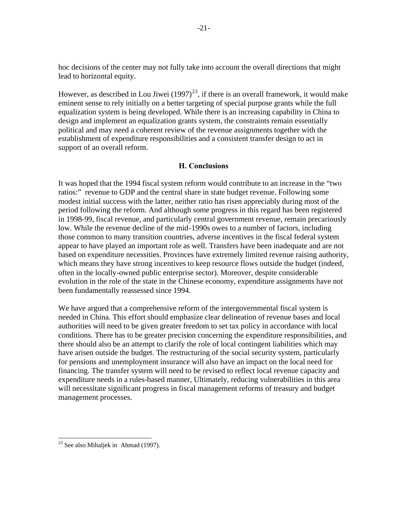hoc decisions of the center may not fully take into account the overall directions that might lead to horizontal equity.

However, as described in Lou Jiwei  $(1997)^{23}$ , if there is an overall framework, it would make eminent sense to rely initially on a better targeting of special purpose grants while the full equalization system is being developed. While there is an increasing capability in China to design and implement an equalization grants system, the constraints remain essentially political and may need a coherent review of the revenue assignments together with the establishment of expenditure responsibilities and a consistent transfer design to act in support of an overall reform.

#### **H. Conclusions**

It was hoped that the 1994 fiscal system reform would contribute to an increase in the "two ratios:" revenue to GDP and the central share in state budget revenue. Following some modest initial success with the latter, neither ratio has risen appreciably during most of the period following the reform. And although some progress in this regard has been registered in 1998-99, fiscal revenue, and particularly central government revenue, remain precariously low. While the revenue decline of the mid-1990s owes to a number of factors, including those common to many transition countries, adverse incentives in the fiscal federal system appear to have played an important role as well. Transfers have been inadequate and are not based on expenditure necessities. Provinces have extremely limited revenue raising authority, which means they have strong incentives to keep resource flows outside the budget (indeed, often in the locally-owned public enterprise sector). Moreover, despite considerable evolution in the role of the state in the Chinese economy, expenditure assignments have not been fundamentally reassessed since 1994.

We have argued that a comprehensive reform of the intergovernmental fiscal system is needed in China. This effort should emphasize clear delineation of revenue bases and local authorities will need to be given greater freedom to set tax policy in accordance with local conditions. There has to be greater precision concerning the expenditure responsibilities, and there should also be an attempt to clarify the role of local contingent liabilities which may have arisen outside the budget. The restructuring of the social security system, particularly for pensions and unemployment insurance will also have an impact on the local need for financing. The transfer system will need to be revised to reflect local revenue capacity and expenditure needs in a rules-based manner, Ultimately, reducing vulnerabilities in this area will necessitate significant progress in fiscal management reforms of treasury and budget management processes.

1

 $23$  See also Mihaljek in Ahmad (1997).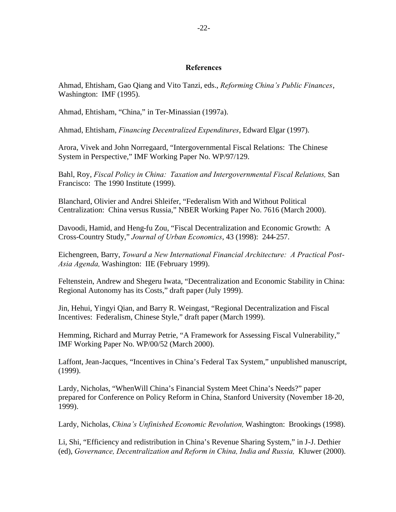#### **References**

Ahmad, Ehtisham, Gao Qiang and Vito Tanzi, eds., *Reforming China's Public Finances*, Washington: IMF (1995).

Ahmad, Ehtisham, "China," in Ter-Minassian (1997a).

Ahmad, Ehtisham, *Financing Decentralized Expenditures*, Edward Elgar (1997).

Arora, Vivek and John Norregaard, "Intergovernmental Fiscal Relations: The Chinese System in Perspective," IMF Working Paper No. WP/97/129.

Bahl, Roy, *Fiscal Policy in China: Taxation and Intergovernmental Fiscal Relations,* San Francisco: The 1990 Institute (1999).

Blanchard, Olivier and Andrei Shleifer, "Federalism With and Without Political Centralization: China versus Russia," NBER Working Paper No. 7616 (March 2000).

Davoodi, Hamid, and Heng-fu Zou, "Fiscal Decentralization and Economic Growth: A Cross-Country Study," *Journal of Urban Economics*, 43 (1998): 244-257.

Eichengreen, Barry, *Toward a New International Financial Architecture: A Practical Post-Asia Agenda,* Washington: IIE (February 1999).

Feltenstein, Andrew and Shegeru Iwata, "Decentralization and Economic Stability in China: Regional Autonomy has its Costs," draft paper (July 1999).

Jin, Hehui, Yingyi Qian, and Barry R. Weingast, "Regional Decentralization and Fiscal Incentives: Federalism, Chinese Style," draft paper (March 1999).

Hemming, Richard and Murray Petrie, "A Framework for Assessing Fiscal Vulnerability," IMF Working Paper No. WP/00/52 (March 2000).

Laffont, Jean-Jacques, "Incentives in China's Federal Tax System," unpublished manuscript, (1999).

Lardy, Nicholas, "WhenWill China's Financial System Meet China's Needs?" paper prepared for Conference on Policy Reform in China, Stanford University (November 18-20, 1999).

Lardy, Nicholas, *China's Unfinished Economic Revolution,* Washington: Brookings (1998).

Li, Shi, "Efficiency and redistribution in China's Revenue Sharing System," in J-J. Dethier (ed), *Governance, Decentralization and Reform in China, India and Russia,* Kluwer (2000).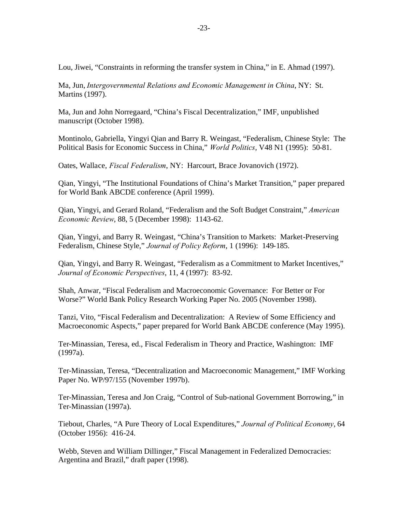Lou, Jiwei, "Constraints in reforming the transfer system in China," in E. Ahmad (1997).

Ma, Jun, *Intergovernmental Relations and Economic Management in China*, NY: St. Martins (1997).

Ma, Jun and John Norregaard, "China's Fiscal Decentralization," IMF, unpublished manuscript (October 1998).

Montinolo, Gabriella, Yingyi Qian and Barry R. Weingast, "Federalism, Chinese Style: The Political Basis for Economic Success in China," *World Politics*, V48 N1 (1995): 50-81.

Oates, Wallace, *Fiscal Federalism*, NY: Harcourt, Brace Jovanovich (1972).

Qian, Yingyi, "The Institutional Foundations of China's Market Transition," paper prepared for World Bank ABCDE conference (April 1999).

Qian, Yingyi, and Gerard Roland, "Federalism and the Soft Budget Constraint," *American Economic Review*, 88, 5 (December 1998): 1143-62.

Qian, Yingyi, and Barry R. Weingast, "China's Transition to Markets: Market-Preserving Federalism, Chinese Style," *Journal of Policy Reform*, 1 (1996): 149-185.

Qian, Yingyi, and Barry R. Weingast, "Federalism as a Commitment to Market Incentives," *Journal of Economic Perspectives*, 11, 4 (1997): 83-92.

Shah, Anwar, "Fiscal Federalism and Macroeconomic Governance: For Better or For Worse?" World Bank Policy Research Working Paper No. 2005 (November 1998).

Tanzi, Vito, "Fiscal Federalism and Decentralization: A Review of Some Efficiency and Macroeconomic Aspects," paper prepared for World Bank ABCDE conference (May 1995).

Ter-Minassian, Teresa, ed., Fiscal Federalism in Theory and Practice, Washington: IMF (1997a).

Ter-Minassian, Teresa, "Decentralization and Macroeconomic Management," IMF Working Paper No. WP/97/155 (November 1997b).

Ter-Minassian, Teresa and Jon Craig, "Control of Sub-national Government Borrowing," in Ter-Minassian (1997a).

Tiebout, Charles, "A Pure Theory of Local Expenditures," *Journal of Political Economy*, 64 (October 1956): 416-24.

Webb, Steven and William Dillinger," Fiscal Management in Federalized Democracies: Argentina and Brazil," draft paper (1998).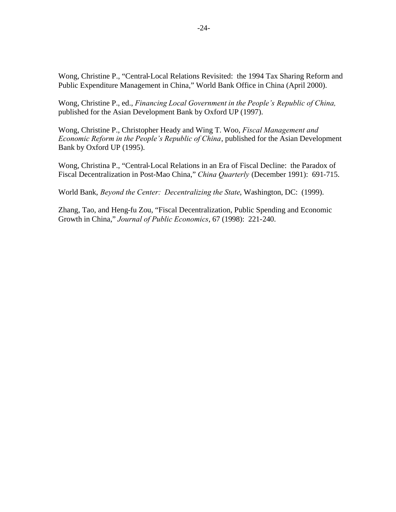Wong, Christine P., "Central-Local Relations Revisited: the 1994 Tax Sharing Reform and Public Expenditure Management in China," World Bank Office in China (April 2000).

Wong, Christine P., ed., *Financing Local Government in the People's Republic of China,* published for the Asian Development Bank by Oxford UP (1997).

Wong, Christine P., Christopher Heady and Wing T. Woo, *Fiscal Management and Economic Reform in the People's Republic of China*, published for the Asian Development Bank by Oxford UP (1995).

Wong, Christina P., "Central-Local Relations in an Era of Fiscal Decline: the Paradox of Fiscal Decentralization in Post-Mao China," *China Quarterly* (December 1991): 691-715.

World Bank, *Beyond the Center: Decentralizing the State*, Washington, DC: (1999).

Zhang, Tao, and Heng-fu Zou, "Fiscal Decentralization, Public Spending and Economic Growth in China," *Journal of Public Economics*, 67 (1998): 221-240.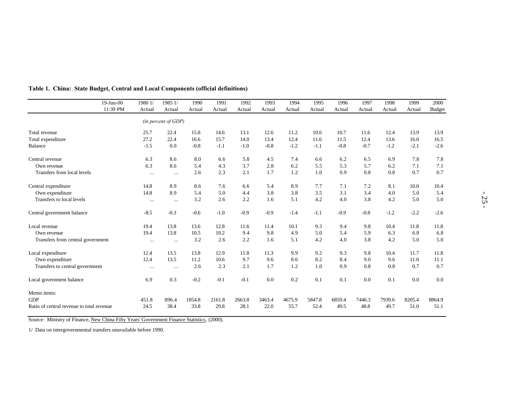| $19-Jun-00$<br>11:39 PM                   | 1980 1/<br>Actual | 1985 1/<br>Actual   | 1990<br>Actual | 1991<br>Actual | 1992<br>Actual | 1993<br>Actual | 1994<br>Actual | 1995<br>Actual | 1996<br>Actual | 1997<br>Actual | 1998<br>Actual | 1999<br>Actual | 2000<br><b>Budget</b> |
|-------------------------------------------|-------------------|---------------------|----------------|----------------|----------------|----------------|----------------|----------------|----------------|----------------|----------------|----------------|-----------------------|
|                                           |                   |                     |                |                |                |                |                |                |                |                |                |                |                       |
|                                           |                   | (in percent of GDP) |                |                |                |                |                |                |                |                |                |                |                       |
| Total revenue                             | 25.7              | 22.4                | 15.8           | 14.6           | 13.1           | 12.6           | 11.2           | 10.6           | 10.7           | 11.6           | 12.4           | 13.9           | 13.9                  |
| Total expenditure                         | 27.2              | 22.4                | 16.6           | 15.7           | 14.0           | 13.4           | 12.4           | 11.6           | 11.5           | 12.4           | 13.6           | 16.0           | 16.5                  |
| Balance                                   | $-1.5$            | 0.0                 | $-0.8$         | $-1.1$         | $-1.0$         | $-0.8$         | $-1.2$         | $-1.1$         | $-0.8$         | $-0.7$         | $-1.2$         | $-2.1$         | $-2.6$                |
| Central revenue                           | 6.3               | 8.6                 | 8.0            | 6.6            | 5.8            | 4.5            | 7.4            | 6.6            | 6.2            | 6.5            | 6.9            | 7.8            | 7.8                   |
| Own revenue                               | 6.3               | 8.6                 | 5.4            | 4.3            | 3.7            | 2.8            | 6.2            | 5.5            | 5.3            | 5.7            | 6.2            | 7.1            | 7.1                   |
| Transfers from local levels               | $\cdots$          | $\ldots$            | 2.6            | 2.3            | 2.1            | 1.7            | 1.2            | 1.0            | 0.9            | 0.8            | 0.8            | 0.7            | 0.7                   |
| Central expenditure                       | 14.8              | 8.9                 | 8.6            | 7.6            | 6.6            | 5.4            | 8.9            | 7.7            | 7.1            | 7.2            | 8.1            | 10.0           | 10.4                  |
| Own expenditure                           | 14.8              | 8.9                 | 5.4            | 5.0            | 4.4            | 3.8            | 3.8            | 3.5            | 3.1            | 3.4            | 4.0            | 5.0            | 5.4                   |
| Transfers to local levels                 | $\cdots$          | $\cdots$            | 3.2            | 2.6            | 2.2            | 1.6            | 5.1            | 4.2            | 4.0            | 3.8            | 4.2            | 5.0            | 5.0                   |
| Central government balance                | $-8.5$            | $-0.3$              | $-0.6$         | $-1.0$         | $-0.9$         | $-0.9$         | $-1.4$         | $-1.1$         | $-0.9$         | $-0.8$         | $-1.2$         | $-2.2$         | $-2.6$                |
| Local revenue                             | 19.4              | 13.8                | 13.6           | 12.8           | 11.6           | 11.4           | 10.1           | 9.3            | 9.4            | 9.8            | 10.4           | 11.8           | 11.8                  |
| Own revenue                               | 19.4              | 13.8                | 10.5           | 10.2           | 9.4            | 9.8            | 4.9            | 5.0            | 5.4            | 5.9            | 6.3            | 6.8            | 6.8                   |
| Transfers from central government         | $\cdots$          | $\cdots$            | 3.2            | 2.6            | 2.2            | 1.6            | 5.1            | 4.2            | 4.0            | 3.8            | 4.2            | 5.0            | 5.0                   |
| Local expenditure                         | 12.4              | 13.5                | 13.8           | 12.9           | 11.8           | 11.3           | 9.9            | 9.2            | 9.3            | 9.8            | 10.4           | 11.7           | 11.8                  |
| Own expenditure                           | 12.4              | 13.5                | 11.2           | 10.6           | 9.7            | 9.6            | 8.6            | 8.2            | 8.4            | 9.0            | 9.6            | 11.0           | 11.1                  |
| Transfers to central government           | $\cdots$          | $\ddotsc$           | 2.6            | 2.3            | 2.1            | 1.7            | 1.2            | 1.0            | 0.9            | 0.8            | 0.8            | 0.7            | 0.7                   |
| Local government balance                  | 6.9               | 0.3                 | $-0.2$         | $-0.1$         | $-0.1$         | 0.0            | 0.2            | 0.1            | 0.1            | 0.0            | 0.1            | 0.0            | 0.0                   |
| Memo items:                               |                   |                     |                |                |                |                |                |                |                |                |                |                |                       |
| GDP                                       | 451.8             | 896.4               | 1854.8         | 2161.8         | 2663.8         | 3463.4         | 4675.9         | 5847.8         | 6859.4         | 7446.3         | 7939.6         | 8205.4         | 8864.9                |
| Ratio of central revenue to total revenue | 24.5              | 38.4                | 33.8           | 29.8           | 28.1           | 22.0           | 55.7           | 52.4           | 49.5           | 48.8           | 49.7           | 51.0           | 51.1                  |

**Table 1. China: State Budget, Central and Local Components (official definitions)**

Source: Ministry of Finance, New China Fifty Years' Government Finance Statistics, (2000).

1/ Data on intergovernmental transfers unavailable before 1990.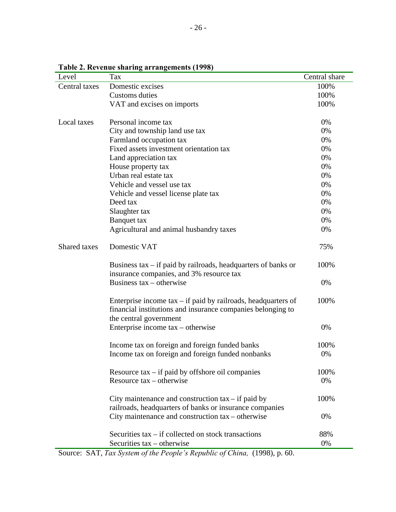| Level               | <b>Tax</b>                                                      | Central share |
|---------------------|-----------------------------------------------------------------|---------------|
| Central taxes       | Domestic excises                                                | 100%          |
|                     | Customs duties                                                  | 100%          |
|                     | VAT and excises on imports                                      | 100%          |
|                     |                                                                 |               |
| Local taxes         | Personal income tax                                             | 0%            |
|                     | City and township land use tax                                  | 0%            |
|                     | Farmland occupation tax                                         | 0%            |
|                     | Fixed assets investment orientation tax                         | 0%            |
|                     | Land appreciation tax                                           | 0%            |
|                     | House property tax                                              | 0%            |
|                     | Urban real estate tax                                           | 0%            |
|                     | Vehicle and vessel use tax                                      | 0%            |
|                     | Vehicle and vessel license plate tax                            | 0%            |
|                     | Deed tax                                                        | 0%            |
|                     | Slaughter tax                                                   | 0%            |
|                     | Banquet tax                                                     | 0%            |
|                     | Agricultural and animal husbandry taxes                         | 0%            |
|                     |                                                                 |               |
| <b>Shared</b> taxes | Domestic VAT                                                    | 75%           |
|                     |                                                                 |               |
|                     | Business $tax - if$ paid by railroads, headquarters of banks or | 100%          |
|                     | insurance companies, and 3% resource tax                        |               |
|                     | Business tax – otherwise                                        | 0%            |
|                     |                                                                 |               |
|                     | Enterprise income $tax - if$ paid by railroads, headquarters of | 100%          |
|                     | financial institutions and insurance companies belonging to     |               |
|                     | the central government                                          |               |
|                     | Enterprise income $tax$ – otherwise                             | 0%            |
|                     |                                                                 |               |
|                     | Income tax on foreign and foreign funded banks                  | 100%          |
|                     | Income tax on foreign and foreign funded nonbanks               | 0%            |
|                     |                                                                 |               |
|                     | Resource $tax - if$ paid by offshore oil companies              | 100%          |
|                     | Resource $tax - otherwise$                                      | 0%            |
|                     |                                                                 |               |
|                     | City maintenance and construction $tax - if$ paid by            | 100%          |
|                     | railroads, headquarters of banks or insurance companies         |               |
|                     | City maintenance and construction $tax$ – otherwise             | 0%            |
|                     |                                                                 |               |
|                     | Securities $tax - if collected on stock transactions$           | 88%           |
|                     | Securities tax - otherwise                                      | 0%            |

**Table 2. Revenue sharing arrangements (1998)**

Source: SAT, *Tax System of the People's Republic of China,* (1998), p. 60.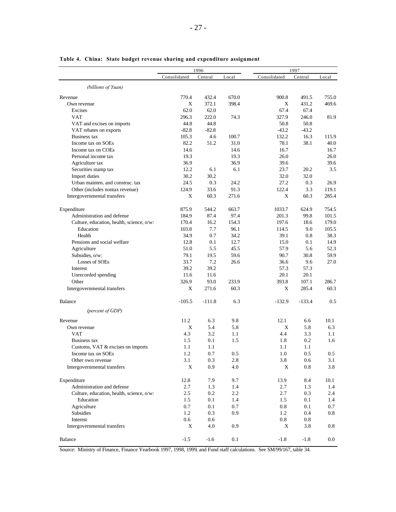|                                           |              | 1996     |       | 1997         |          |         |  |  |
|-------------------------------------------|--------------|----------|-------|--------------|----------|---------|--|--|
|                                           | Consolidated | Central  | Local | Consolidated | Central  | Local   |  |  |
| (billions of Yuan)                        |              |          |       |              |          |         |  |  |
|                                           |              |          |       |              |          |         |  |  |
| Revenue                                   | 770.4        | 432.4    | 670.0 | 900.8        | 491.5    | 755.0   |  |  |
| Own revenue                               | X            | 372.1    | 398.4 | X            | 431.2    | 469.6   |  |  |
| Excises                                   | 62.0         | 62.0     |       | 67.4         | 67.4     |         |  |  |
| <b>VAT</b>                                | 296.3        | 222.0    | 74.3  | 327.9        | 246.0    | 81.9    |  |  |
| VAT and excises on imports                | 44.8         | 44.8     |       | 50.8         | 50.8     |         |  |  |
| VAT rebates on exports                    | $-82.8$      | $-82.8$  |       | $-43.2$      | $-43.2$  |         |  |  |
| Business tax                              | 105.3        | 4.6      | 100.7 | 132.2        | 16.3     | 115.9   |  |  |
| Income tax on SOEs                        | 82.2         | 51.2     | 31.0  | 78.1         | 38.1     | 40.0    |  |  |
| Income tax on COEs                        | 14.6         |          | 14.6  | 16.7         |          | 16.7    |  |  |
| Personal income tax                       | 19.3         |          | 19.3  | 26.0         |          | 26.0    |  |  |
| Agriculture tax                           | 36.9         |          | 36.9  | 39.6         |          | 39.6    |  |  |
| Securities stamp tax                      | 12.2         | 6.1      | 6.1   | 23.7         | 20.2     | 3.5     |  |  |
| Import duties                             | 30.2         | 30.2     |       | 32.0         | 32.0     |         |  |  |
| Urban mainten, and construc, tax          | 24.5         | 0.3      | 24.2  | 27.2         | 0.3      | 26.9    |  |  |
| Other (includes nontax revenue)           | 124.9        | 33.6     | 91.3  | 122.4        | 3.3      | 119.1   |  |  |
| Intergovernmental transfers               | X            | 60.3     | 271.6 | X            | 60.3     | 285.4   |  |  |
| Expenditure                               | 875.9        | 544.2    | 663.7 | 1033.7       | 624.9    | 754.5   |  |  |
| Administration and defense                | 184.9        | 87.4     | 97.4  | 201.3        | 99.8     | 101.5   |  |  |
| Culture, education, health, science, o/w: | 170.4        | 16.2     | 154.3 | 197.6        | 18.6     | 179.0   |  |  |
| Education                                 | 103.8        | 7.7      | 96.1  | 114.5        | 9.0      | 105.5   |  |  |
| Health                                    | 34.9         | 0.7      | 34.2  | 39.1         | 0.8      | 38.3    |  |  |
| Pensions and social welfare               | 12.8         | 0.1      | 12.7  | 15.0         | 0.1      | 14.9    |  |  |
| Agriculture                               | 51.0         | 5.5      | 45.5  | 57.9         | 5.6      | 52.3    |  |  |
| Subsidies, o/w:                           | 79.1         | 19.5     | 59.6  | 90.7         | 30.8     | 59.9    |  |  |
| Losses of SOEs                            | 33.7         | 7.2      | 26.6  | 36.6         | 9.6      | 27.0    |  |  |
| Interest                                  | 39.2         | 39.2     |       | 57.3         | 57.3     |         |  |  |
| Unrecorded spending                       | 11.6         | 11.6     |       | 20.1         | 20.1     |         |  |  |
| Other                                     | 326.9        | 93.0     | 233.9 | 393.8        | 107.1    | 286.7   |  |  |
| Intergovernmental transfers               | X            | 271.6    | 60.3  | X            | 285.4    | 60.3    |  |  |
| Balance                                   | $-105.5$     | $-111.8$ | 6.3   | $-132.9$     | $-133.4$ | 0.5     |  |  |
| (percent of GDP)                          |              |          |       |              |          |         |  |  |
|                                           |              |          |       |              |          |         |  |  |
| Revenue                                   | 11.2         | 6.3      | 9.8   | 12.1         | 6.6      | 10.1    |  |  |
| Own revenue                               | X            | 5.4      | 5.8   | X            | 5.8      | 6.3     |  |  |
| VAT                                       | 4.3          | 3.2      | 1.1   | 4.4          | 3.3      | 1.1     |  |  |
| Business tax                              | 1.5          | 0.1      | 1.5   | 1.8          | 0.2      | 1.6     |  |  |
| Customs, VAT & excises on imports         | 1.1          | 1.1      |       | 1.1          | 1.1      |         |  |  |
| Income tax on SOEs                        | 1.2          | 0.7      | 0.5   | 1.0          | 0.5      | 0.5     |  |  |
| Other own revenue                         | 3.1          | 0.3      | 2.8   | 3.8          | 0.6      | 3.1     |  |  |
| Intergovernmental transfers               | X            | 0.9      | 4.0   | X            | 0.8      | 3.8     |  |  |
| Expenditure                               | 12.8         | 7.9      | 9.7   | 13.9         | 8.4      | 10.1    |  |  |
| Administration and defense                | 2.7          | 1.3      | 1.4   | 2.7          | 1.3      | 1.4     |  |  |
| Culture, education, health, science, o/w: | 2.5          | 0.2      | 2.2   | 2.7          | 0.3      | 2.4     |  |  |
| Education                                 | 1.5          | $0.1\,$  | 1.4   | 1.5          | 0.1      | 1.4     |  |  |
| Agriculture                               | 0.7          | 0.1      | 0.7   | 0.8          | 0.1      | $0.7\,$ |  |  |
| Subsidies                                 | 1.2          | 0.3      | 0.9   | 1.2          | 0.4      | 0.8     |  |  |
| Interest                                  | 0.6          | 0.6      |       | 0.8          | 0.8      |         |  |  |
| Intergovernmental transfers               | X            | 4.0      | 0.9   | X            | 3.8      | 0.8     |  |  |
| <b>Balance</b>                            | $-1.5$       | $-1.6$   | 0.1   | $-1.8$       | $-1.8$   | 0.0     |  |  |

#### **Table 4. China: State budget revenue sharing and expenditure assignment**

Source: Ministry of Finance, Finance Yearbook 1997, 1998, 1999, and Fund staff calculations. See SM/99/167, table 34.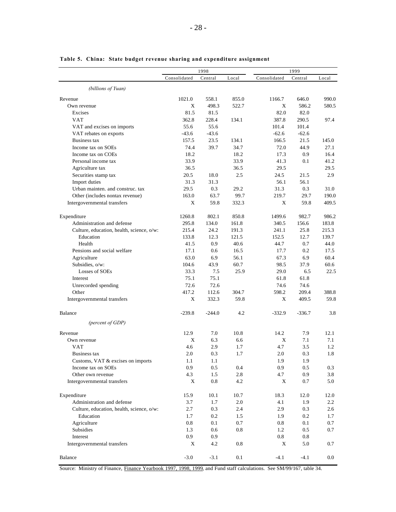|                                           |              | 1998     |           | 1999         |          |         |  |
|-------------------------------------------|--------------|----------|-----------|--------------|----------|---------|--|
|                                           | Consolidated | Central  | Local     | Consolidated | Central  | Local   |  |
| (billions of Yuan)                        |              |          |           |              |          |         |  |
| Revenue                                   | 1021.0       | 558.1    | 855.0     | 1166.7       | 646.0    | 990.0   |  |
| Own revenue                               | X            | 498.3    | 522.7     | X            | 586.2    | 580.5   |  |
| Excises                                   | 81.5         | 81.5     |           | 82.0         | 82.0     |         |  |
| <b>VAT</b>                                | 362.8        | 228.4    | 134.1     | 387.8        | 290.5    | 97.4    |  |
| VAT and excises on imports                | 55.6         | 55.6     |           | 101.4        | 101.4    |         |  |
| VAT rebates on exports                    | $-43.6$      | $-43.6$  |           | $-62.6$      | $-62.6$  |         |  |
| Business tax                              | 157.5        | 23.5     | 134.1     | 166.5        | 21.5     | 145.0   |  |
| Income tax on SOEs                        | 74.4         | 39.7     | 34.7      | 72.0         | 44.9     | 27.1    |  |
| Income tax on COEs                        | 18.2         |          | 18.2      | 17.3         | 0.9      | 16.4    |  |
| Personal income tax                       | 33.9         |          | 33.9      | 41.3         | 0.1      | 41.2    |  |
| Agriculture tax                           | 36.5         |          | 36.5      | 29.5         |          | 29.5    |  |
|                                           |              |          |           |              |          | 2.9     |  |
| Securities stamp tax                      | 20.5         | 18.0     | 2.5       | 24.5         | 21.5     |         |  |
| Import duties                             | 31.3         | 31.3     |           | 56.1         | 56.1     |         |  |
| Urban mainten, and construc, tax          | 29.5         | 0.3      | 29.2      | 31.3         | 0.3      | 31.0    |  |
| Other (includes nontax revenue)           | 163.0        | 63.7     | 99.7      | 219.7        | 29.7     | 190.0   |  |
| Intergovernmental transfers               | X            | 59.8     | 332.3     | X            | 59.8     | 409.5   |  |
| Expenditure                               | 1260.8       | 802.1    | 850.8     | 1499.6       | 982.7    | 986.2   |  |
| Administration and defense                | 295.8        | 134.0    | 161.8     | 340.5        | 156.6    | 183.8   |  |
| Culture, education, health, science, o/w: | 215.4        | 24.2     | 191.3     | 241.1        | 25.8     | 215.3   |  |
| Education                                 | 133.8        | 12.3     | 121.5     | 152.5        | 12.7     | 139.7   |  |
| Health                                    | 41.5         | 0.9      | 40.6      | 44.7         | 0.7      | 44.0    |  |
| Pensions and social welfare               | 17.1         | 0.6      | 16.5      | 17.7         | 0.2      | 17.5    |  |
| Agriculture                               | 63.0         | 6.9      | 56.1      | 67.3         | 6.9      | 60.4    |  |
| Subsidies, o/w:                           | 104.6        | 43.9     | 60.7      | 98.5         | 37.9     | 60.6    |  |
| Losses of SOEs                            | 33.3         | 7.5      | 25.9      | 29.0         | 6.5      | 22.5    |  |
| Interest                                  | 75.1         | 75.1     |           | 61.8         | 61.8     |         |  |
| Unrecorded spending                       | 72.6         | 72.6     |           | 74.6         | 74.6     |         |  |
| Other                                     | 417.2        | 112.6    | 304.7     | 598.2        | 209.4    | 388.8   |  |
| Intergovernmental transfers               | X            | 332.3    | 59.8      | X            | 409.5    | 59.8    |  |
| Balance                                   | $-239.8$     | $-244.0$ | 4.2       | $-332.9$     | $-336.7$ | 3.8     |  |
| (percent of GDP)                          |              |          |           |              |          |         |  |
|                                           |              |          |           |              |          |         |  |
| Revenue                                   | 12.9         | 7.0      | 10.8      | 14.2         | 7.9      | 12.1    |  |
| Own revenue                               | X            | 6.3      | 6.6       | X            | 7.1      | 7.1     |  |
| <b>VAT</b>                                | 4.6          | 2.9      | 1.7       | 4.7          | 3.5      | 1.2     |  |
| Business tax                              | $2.0\,$      | 0.3      | $1.7\,$   | $2.0\,$      | $0.3\,$  | 1.8     |  |
| Customs, VAT & excises on imports         | 1.1          | 1.1      |           | 1.9          | 1.9      |         |  |
| Income tax on SOEs                        | 0.9          | 0.5      | 0.4       | 0.9          | 0.5      | 0.3     |  |
| Other own revenue                         | 4.3          | 1.5      | 2.8       | 4.7          | 0.9      | 3.8     |  |
| Intergovernmental transfers               | X            | $0.8\,$  | 4.2       | X            | 0.7      | 5.0     |  |
| Expenditure                               | 15.9         | 10.1     | 10.7      | 18.3         | 12.0     | 12.0    |  |
| Administration and defense                | 3.7          | 1.7      | 2.0       | 4.1          | 1.9      | 2.2     |  |
| Culture, education, health, science, o/w: | 2.7          | 0.3      | 2.4       | 2.9          | 0.3      | 2.6     |  |
| Education                                 | 1.7          | 0.2      | 1.5       | 1.9          | 0.2      | 1.7     |  |
| Agriculture                               | 0.8          | 0.1      | 0.7       | $0.8\,$      | 0.1      | 0.7     |  |
| Subsidies                                 | 1.3          | 0.6      | 0.8       | 1.2          | 0.5      | 0.7     |  |
| Interest                                  | 0.9          | 0.9      |           | 0.8          | 0.8      |         |  |
| Intergovernmental transfers               | X            | 4.2      | $\rm 0.8$ | X            | 5.0      | 0.7     |  |
| Balance                                   | $-3.0$       | $-3.1$   | 0.1       | $-4.1$       | $-4.1$   | $0.0\,$ |  |

**Table 5. China: State budget revenue sharing and expenditure assignment**

Source: Ministry of Finance, Finance Yearbook 1997, 1998, 1999, and Fund staff calculations. See SM/99/167, table 34.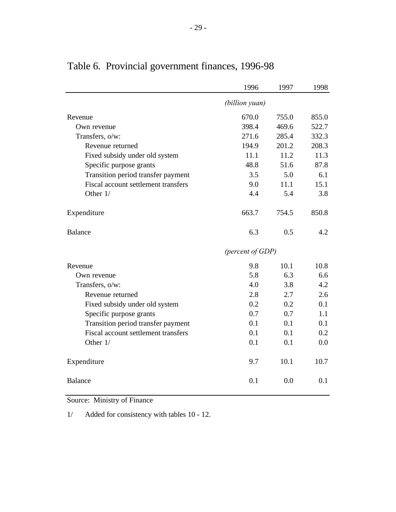|                                     | 1996             | 1997  | 1998  |
|-------------------------------------|------------------|-------|-------|
|                                     | (billion yuan)   |       |       |
| Revenue                             | 670.0            | 755.0 | 855.0 |
| Own revenue                         | 398.4            | 469.6 | 522.7 |
| Transfers, o/w:                     | 271.6            | 285.4 | 332.3 |
| Revenue returned                    | 194.9            | 201.2 | 208.3 |
| Fixed subsidy under old system      | 11.1             | 11.2  | 11.3  |
| Specific purpose grants             | 48.8             | 51.6  | 87.8  |
| Transition period transfer payment  | 3.5              | 5.0   | 6.1   |
| Fiscal account settlement transfers | 9.0              | 11.1  | 15.1  |
| Other 1/                            | 4.4              | 5.4   | 3.8   |
| Expenditure                         | 663.7            | 754.5 | 850.8 |
| <b>Balance</b>                      | 6.3              | 0.5   | 4.2   |
|                                     | (percent of GDP) |       |       |
| Revenue                             | 9.8              | 10.1  | 10.8  |
| Own revenue                         | 5.8              | 6.3   | 6.6   |
| Transfers, o/w:                     | 4.0              | 3.8   | 4.2   |
| Revenue returned                    | 2.8              | 2.7   | 2.6   |
| Fixed subsidy under old system      | 0.2              | 0.2   | 0.1   |
| Specific purpose grants             | 0.7              | 0.7   | 1.1   |
| Transition period transfer payment  | 0.1              | 0.1   | 0.1   |
| Fiscal account settlement transfers | 0.1              | 0.1   | 0.2   |
| Other 1/                            | 0.1              | 0.1   | 0.0   |
| Expenditure                         | 9.7              | 10.1  | 10.7  |
| <b>Balance</b>                      | 0.1              | 0.0   | 0.1   |

Table 6. Provincial government finances, 1996-98

Source: Ministry of Finance

1/ Added for consistency with tables 10 - 12.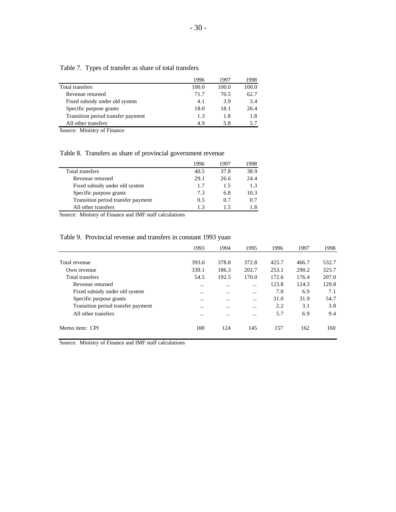|                                    | 1996  | 1997  | 1998  |
|------------------------------------|-------|-------|-------|
| Total transfers                    | 100.0 | 100.0 | 100.0 |
| Revenue returned                   | 71.7  | 70.5  | 62.7  |
| Fixed subsidy under old system     | 4.1   | 3.9   | 3.4   |
| Specific purpose grants            | 18.0  | 18.1  | 26.4  |
| Transition period transfer payment | 1.3   | 1.8   | 1.8   |
| All other transfers                | 49    | 5.8   | 5.7   |

| Table 7. Types of transfer as share of total transfers |
|--------------------------------------------------------|
|--------------------------------------------------------|

Source: Ministry of Finance

#### Table 8. Transfers as share of provincial government revenue

|                                    | 1996 | 1997 | 1998 |
|------------------------------------|------|------|------|
| Total transfers                    | 40.5 | 37.8 | 38.9 |
| Revenue returned                   | 29.1 | 26.6 | 24.4 |
| Fixed subsidy under old system     | 1.7  | 1.5  | 1.3  |
| Specific purpose grants            | 7.3  | 6.8  | 10.3 |
| Transition period transfer payment | 0.5  | 0.7  | 0.7  |
| All other transfers                | 13   |      |      |

Source: Ministry of Finance and IMF staff calculations

# Table 9. Provincial revenue and transfers in constant 1993 yuan

|                                    | 1993     | 1994  | 1995     | 1996  | 1997  | 1998  |
|------------------------------------|----------|-------|----------|-------|-------|-------|
|                                    |          |       |          |       |       |       |
| Total revenue                      | 393.6    | 378.8 | 372.8    | 425.7 | 466.7 | 532.7 |
| Own revenue                        | 339.1    | 186.3 | 202.7    | 253.1 | 290.2 | 325.7 |
| Total transfers                    | 54.5     | 192.5 | 170.0    | 172.6 | 176.4 | 207.0 |
| Revenue returned                   | $\cdots$ |       | $\cdots$ | 123.8 | 124.3 | 129.8 |
| Fixed subsidy under old system     | $\cdots$ |       | $\cdots$ | 7.0   | 6.9   | 7.1   |
| Specific purpose grants            | $\cdots$ |       | $\cdots$ | 31.0  | 31.9  | 54.7  |
| Transition period transfer payment |          |       | $\cdots$ | 2.2   | 3.1   | 3.8   |
| All other transfers                |          |       | $\cdots$ | 5.7   | 6.9   | 9.4   |
| Memo item: CPI                     | 100      | 124   | 145      | 157   | 162   | 160   |

Source: Ministry of Finance and IMF staff calculations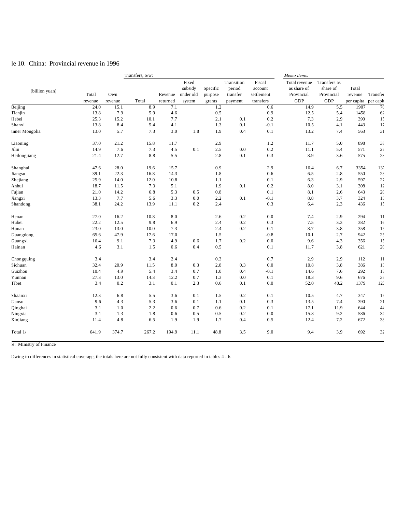#### le 10. China: Provincial revenue in 1996

|                |         |         | Transfers, o/w: |          |           |          |            |            | Memo items:   |              |            |                   |
|----------------|---------|---------|-----------------|----------|-----------|----------|------------|------------|---------------|--------------|------------|-------------------|
|                |         |         |                 |          | Fixed     |          | Transition | Fiscal     | Total revenue | Transfers as |            |                   |
|                |         |         |                 |          | subsidy   | Specific | period     | account    | as share of   | share of     | Total      |                   |
| (billion yuan) | Total   | Own     |                 | Revenue  | under old | purpose  | transfer   | settlement | Provincial    | Provincial   | revenue    | Transfer          |
|                | revenue | revenue | Total           | returned | system    | grants   | payment    | transfers  | GDP           | GDP          | per capita | per capit         |
| Beijing        | 24.0    | 15.1    | 8.9             | 7.1      |           | 1.2      |            | 0.6        | 14.9          | 5.5          | 1907       | $7\mathrm{C}$     |
| Tianjin        | 13.8    | 7.9     | 5.9             | 4.6      |           | 0.5      |            | 0.9        | 12.5          | 5.4          | 1458       | 62                |
| Hebei          | 25.3    | 15.2    | 10.1            | 7.7      |           | 2.1      | 0.1        | 0.2        | 7.3           | 2.9          | 390        | $15\,$            |
| Shanxi         | 13.8    | 8.4     | 5.4             | 4.1      |           | 1.3      | 0.1        | $-0.1$     | 10.5          | 4.1          | 443        | 17                |
| Inner Mongolia | 13.0    | 5.7     | 7.3             | 3.0      | 1.8       | 1.9      | 0.4        | 0.1        | 13.2          | 7.4          | 563        | 31                |
| Liaoning       | 37.0    | 21.2    | 15.8            | 11.7     |           | 2.9      |            | 1.2        | 11.7          | 5.0          | 898        | $3\bar{\epsilon}$ |
| Jilin          | 14.9    | 7.6     | 7.3             | 4.5      | 0.1       | 2.5      | 0.0        | 0.2        | 11.1          | 5.4          | 571        | 27                |
| Heilongjiang   | 21.4    | 12.7    | 8.8             | 5.5      |           | 2.8      | 0.1        | 0.3        | 8.9           | 3.6          | 575        | 23                |
| Shanghai       | 47.6    | 28.0    | 19.6            | 15.7     |           | 0.9      |            | 2.9        | 16.4          | 6.7          | 3354       | 137               |
| Jiangsu        | 39.1    | 22.3    | 16.8            | 14.3     |           | 1.8      |            | 0.6        | 6.5           | 2.8          | 550        | 23                |
| Zhejiang       | 25.9    | 14.0    | 12.0            | 10.8     |           | 1.1      |            | 0.1        | 6.3           | 2.9          | 597        | $27\,$            |
| Anhui          | 18.7    | 11.5    | 7.3             | 5.1      |           | 1.9      | 0.1        | 0.2        | 8.0           | 3.1          | 308        | 12                |
| Fujian         | 21.0    | 14.2    | 6.8             | 5.3      | 0.5       | 0.8      |            | 0.1        | 8.1           | 2.6          | 643        | 2C                |
| Jiangxi        | 13.3    | 7.7     | 5.6             | 3.3      | 0.0       | 2.2      | 0.1        | $-0.1$     | 8.8           | 3.7          | 324        | $13\,$            |
| Shandong       | 38.1    | 24.2    | 13.9            | 11.1     | 0.2       | 2.4      |            | 0.3        | 6.4           | 2.3          | 436        | 15                |
| Henan          | 27.0    | 16.2    | 10.8            | 8.0      |           | 2.6      | 0.2        | 0.0        | 7.4           | 2.9          | 294        | 11                |
| Hubei          | 22.2    | 12.5    | 9.8             | 6.9      |           | 2.4      | 0.2        | 0.3        | 7.5           | 3.3          | 382        | 16                |
| Hunan          | 23.0    | 13.0    | 10.0            | 7.3      |           | 2.4      | 0.2        | 0.1        | 8.7           | 3.8          | 358        | 15                |
| Guangdong      | 65.6    | 47.9    | 17.6            | 17.0     |           | 1.5      |            | $-0.8$     | 10.1          | 2.7          | 942        | 25                |
| Guangxi        | 16.4    | 9.1     | 7.3             | 4.9      | 0.6       | 1.7      | 0.2        | 0.0        | 9.6           | 4.3          | 356        | 15                |
| Hainan         | 4.6     | 3.1     | 1.5             | 0.6      | 0.4       | 0.5      |            | 0.1        | 11.7          | 3.8          | 621        | 2C                |
| Chongquing     | 3.4     |         | 3.4             | 2.4      |           | 0.3      |            | 0.7        | 2.9           | 2.9          | 112        | 11                |
| Sichuan        | 32.4    | 20.9    | 11.5            | 8.0      | 0.3       | 2.8      | 0.3        | 0.0        | 10.8          | 3.8          | 386        | 13                |
| Guizhou        | 10.4    | 4.9     | 5.4             | 3.4      | 0.7       | 1.0      | 0.4        | $-0.1$     | 14.6          | 7.6          | 292        | 15                |
| Yunnan         | 27.3    | 13.0    | 14.3            | 12.2     | 0.7       | 1.3      | 0.0        | 0.1        | 18.3          | 9.6          | 676        | $35\,$            |
| Tibet          | 3.4     | 0.2     | 3.1             | 0.1      | 2.3       | 0.6      | 0.1        | 0.0        | 52.0          | 48.2         | 1379       | 127               |
| Shaanxi        | 12.3    | 6.8     | 5.5             | 3.6      | 0.1       | 1.5      | 0.2        | 0.1        | 10.5          | 4.7          | 347        | 15                |
| Gansu          | 9.6     | 4.3     | 5.3             | 3.6      | 0.1       | 1.1      | 0.1        | 0.3        | 13.5          | 7.4          | 390        | 21                |
| Qinghai        | 3.1     | 1.0     | 2.2             | 0.6      | 0.7       | 0.6      | 0.2        | 0.1        | 17.1          | 11.9         | 644        | 44                |
| Ningxia        | 3.1     | 1.3     | 1.8             | 0.6      | 0.5       | 0.5      | 0.2        | 0.0        | 15.8          | 9.2          | 586        | 34                |
| Xinjiang       | 11.4    | 4.8     | 6.5             | 1.9      | 1.9       | 1.7      | 0.4        | 0.5        | 12.4          | 7.2          | 672        | $3\xi$            |
| Total 1/       | 641.9   | 374.7   | 267.2           | 194.9    | 11.1      | 48.8     | 3.5        | 9.0        | 9.4           | 3.9          | 692        | 32                |

e: Ministry of Finance

Owing to differences in statistical coverage, the totals here are not fully consistent with data reported in tables 4 - 6.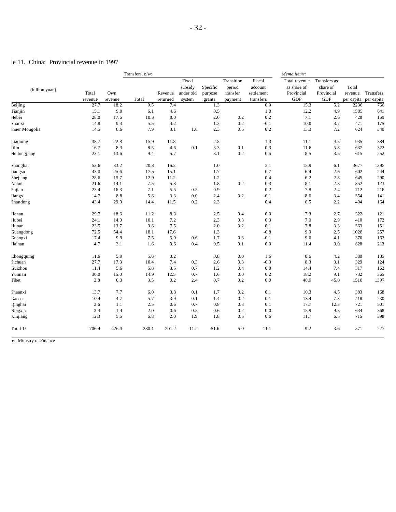#### le 11. China: Provincial revenue in 1997

|                |         |         | Transfers, o/w: |          |           |          |            |            | Memo items:   |              |            |            |
|----------------|---------|---------|-----------------|----------|-----------|----------|------------|------------|---------------|--------------|------------|------------|
|                |         |         |                 |          | Fixed     |          | Transition | Fiscal     | Total revenue | Transfers as |            |            |
| (billion yuan) |         |         |                 |          | subsidy   | Specific | period     | account    | as share of   | share of     | Total      |            |
|                | Total   | Own     |                 | Revenue  | under old | purpose  | transfer   | settlement | Provincial    | Provincial   | revenue    | Transfers  |
|                | revenue | revenue | Total           | returned | system    | grants   | payment    | transfers  | GDP           | GDP          | per capita | per capita |
| Beijing        | 27.7    | 18.2    | 9.5             | 7.4      |           | 1.3      |            | 0.9        | 15.3          | 5.2          | 2236       | 766        |
| <b>Tianjin</b> | 15.1    | 9.0     | 6.1             | 4.6      |           | 0.5      |            | 1.0        | 12.2          | 4.9          | 1585       | 641        |
| Hebei          | 28.0    | 17.6    | 10.3            | 8.0      |           | 2.0      | 0.2        | 0.2        | 7.1           | 2.6          | 428        | 159        |
| Shanxi         | 14.8    | 9.3     | 5.5             | 4.2      |           | 1.3      | 0.2        | $-0.1$     | 10.0          | 3.7          | 471        | 175        |
| Inner Mongolia | 14.5    | 6.6     | 7.9             | 3.1      | 1.8       | 2.3      | 0.5        | 0.2        | 13.3          | 7.2          | 624        | 340        |
| Liaoning       | 38.7    | 22.8    | 15.9            | 11.8     |           | 2.8      |            | 1.3        | 11.1          | 4.5          | 935        | 384        |
| Jilin          | 16.7    | 8.3     | 8.5             | 4.6      | 0.1       | 3.3      | 0.1        | 0.3        | 11.6          | 5.8          | 637        | 322        |
| Heilongjiang   | 23.1    | 13.6    | 9.4             | 5.7      |           | 3.1      | 0.2        | 0.5        | 8.5           | 3.5          | 615        | 252        |
| Shanghai       | 53.6    | 33.2    | 20.3            | 16.2     |           | 1.0      |            | 3.1        | 15.9          | 6.1          | 3677       | 1395       |
| <b>fiangsu</b> | 43.0    | 25.6    | 17.5            | 15.1     |           | 1.7      |            | 0.7        | 6.4           | 2.6          | 602        | 244        |
| Zhejiang       | 28.6    | 15.7    | 12.9            | 11.2     |           | 1.2      |            | 0.4        | 6.2           | 2.8          | 645        | 290        |
| Anhui          | 21.6    | 14.1    | 7.5             | 5.3      |           | 1.8      | $0.2\,$    | 0.3        | 8.1           | 2.8          | 352        | 123        |
| Fujian         | 23.4    | 16.3    | 7.1             | 5.5      | 0.5       | 0.9      |            | 0.2        | 7.8           | 2.4          | 712        | 216        |
| liangxi        | 14.7    | 8.8     | 5.8             | 3.3      | 0.0       | 2.4      | 0.2        | $-0.1$     | 8.6           | 3.4          | 354        | 141        |
| Shandong       | 43.4    | 29.0    | 14.4            | 11.5     | 0.2       | 2.3      |            | 0.4        | 6.5           | 2.2          | 494        | 164        |
| Henan          | 29.7    | 18.6    | 11.2            | 8.3      |           | 2.5      | 0.4        | 0.0        | 7.3           | 2.7          | 322        | 121        |
| Hubei          | 24.1    | 14.0    | 10.1            | 7.2      |           | 2.3      | 0.3        | 0.3        | 7.0           | 2.9          | 410        | 172        |
| Hunan          | 23.5    | 13.7    | 9.8             | 7.5      |           | 2.0      | 0.2        | 0.1        | 7.8           | 3.3          | 363        | 151        |
| Guangdong      | 72.5    | 54.4    | 18.1            | 17.6     |           | 1.3      |            | $-0.8$     | 9.9           | 2.5          | 1028       | 257        |
| <b>Guangxi</b> | 17.4    | 9.9     | 7.5             | 5.0      | 0.6       | 1.7      | 0.3        | $-0.1$     | 9.6           | 4.1          | 376        | 162        |
| Hainan         | 4.7     | 3.1     | 1.6             | 0.6      | 0.4       | 0.5      | 0.1        | 0.0        | 11.4          | 3.9          | 628        | 213        |
| Chongquing     | 11.6    | 5.9     | 5.6             | 3.2      |           | 0.8      | 0.0        | 1.6        | 8.6           | 4.2          | 380        | 185        |
| Sichuan        | 27.7    | 17.3    | 10.4            | 7.4      | 0.3       | 2.6      | 0.3        | $-0.3$     | 8.3           | 3.1          | 329        | 124        |
| <b>Guizhou</b> | 11.4    | 5.6     | 5.8             | 3.5      | 0.7       | 1.2      | 0.4        | 0.0        | 14.4          | 7.4          | 317        | 162        |
| Yunnan         | 30.0    | 15.0    | 14.9            | 12.5     | 0.7       | 1.6      | 0.0        | 0.2        | 18.2          | 9.1          | 732        | 365        |
| Tibet          | 3.8     | 0.3     | 3.5             | 0.2      | 2.4       | 0.7      | 0.2        | 0.0        | 48.9          | 45.0         | 1518       | 1397       |
| Shaanxi        | 13.7    | 7.7     | 6.0             | 3.8      | 0.1       | 1.7      | 0.2        | 0.1        | 10.3          | 4.5          | 383        | 168        |
| Gansu          | 10.4    | 4.7     | 5.7             | 3.9      | 0.1       | 1.4      | 0.2        | 0.1        | 13.4          | 7.3          | 418        | 230        |
| Qinghai        | 3.6     | 1.1     | 2.5             | 0.6      | 0.7       | 0.8      | 0.3        | 0.1        | 17.7          | 12.3         | 721        | 501        |
| Ningxia        | 3.4     | 1.4     | 2.0             | 0.6      | 0.5       | 0.6      | 0.2        | 0.0        | 15.9          | 9.3          | 634        | 368        |
| Xinjiang       | 12.3    | 5.5     | 6.8             | 2.0      | 1.9       | 1.8      | 0.5        | 0.6        | 11.7          | 6.5          | 715        | 398        |
| Total $1/$     | 706.4   | 426.3   | 280.1           | 201.2    | 11.2      | 51.6     | 5.0        | 11.1       | 9.2           | 3.6          | 571        | 227        |

e: Ministry of Finance